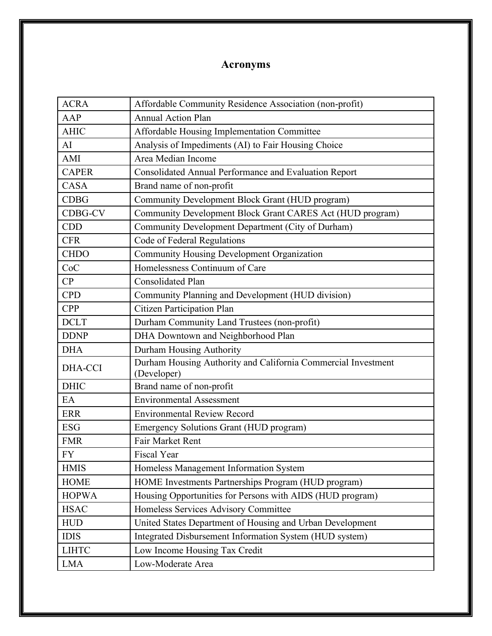## **Acronyms**

| <b>ACRA</b>    | Affordable Community Residence Association (non-profit)                      |
|----------------|------------------------------------------------------------------------------|
| AAP            | <b>Annual Action Plan</b>                                                    |
| <b>AHIC</b>    | Affordable Housing Implementation Committee                                  |
| AI             | Analysis of Impediments (AI) to Fair Housing Choice                          |
| AMI            | Area Median Income                                                           |
| <b>CAPER</b>   | Consolidated Annual Performance and Evaluation Report                        |
| <b>CASA</b>    | Brand name of non-profit                                                     |
| <b>CDBG</b>    | Community Development Block Grant (HUD program)                              |
| <b>CDBG-CV</b> | Community Development Block Grant CARES Act (HUD program)                    |
| <b>CDD</b>     | Community Development Department (City of Durham)                            |
| <b>CFR</b>     | Code of Federal Regulations                                                  |
| <b>CHDO</b>    | Community Housing Development Organization                                   |
| CoC            | Homelessness Continuum of Care                                               |
| CP             | <b>Consolidated Plan</b>                                                     |
| <b>CPD</b>     | Community Planning and Development (HUD division)                            |
| <b>CPP</b>     | Citizen Participation Plan                                                   |
| <b>DCLT</b>    | Durham Community Land Trustees (non-profit)                                  |
| <b>DDNP</b>    | DHA Downtown and Neighborhood Plan                                           |
| <b>DHA</b>     | Durham Housing Authority                                                     |
| <b>DHA-CCI</b> | Durham Housing Authority and California Commercial Investment<br>(Developer) |
| <b>DHIC</b>    | Brand name of non-profit                                                     |
| EA             | <b>Environmental Assessment</b>                                              |
| <b>ERR</b>     | <b>Environmental Review Record</b>                                           |
| <b>ESG</b>     | Emergency Solutions Grant (HUD program)                                      |
| <b>FMR</b>     | Fair Market Rent                                                             |
| FY             | Fiscal Year                                                                  |
| <b>HMIS</b>    | Homeless Management Information System                                       |
| <b>HOME</b>    | HOME Investments Partnerships Program (HUD program)                          |
| <b>HOPWA</b>   | Housing Opportunities for Persons with AIDS (HUD program)                    |
| <b>HSAC</b>    | Homeless Services Advisory Committee                                         |
| <b>HUD</b>     | United States Department of Housing and Urban Development                    |
| <b>IDIS</b>    | Integrated Disbursement Information System (HUD system)                      |
| <b>LIHTC</b>   | Low Income Housing Tax Credit                                                |
| <b>LMA</b>     | Low-Moderate Area                                                            |